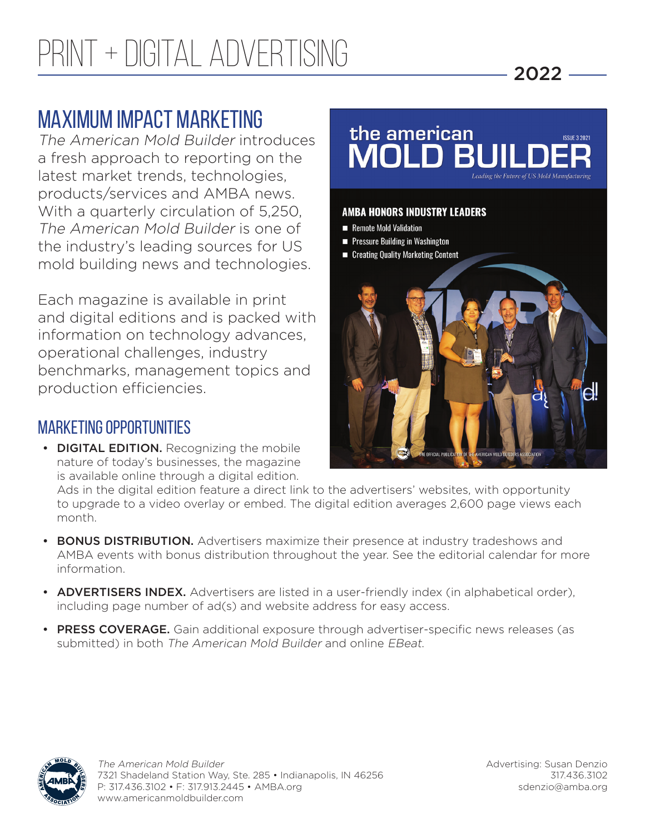# MAXIMUM IMPACT MARKETING

The American Mold Builder introduces a fresh approach to reporting on the latest market trends, technologies, products/services and AMBA news. With a quarterly circulation of 5,250, The American Mold Builder is one of the industry's leading sources for US mold building news and technologies.

Each magazine is available in print and digital editions and is packed with information on technology advances, operational challenges, industry benchmarks, management topics and production efficiencies.

### MARKETING OPPORTUNITIES

• DIGITAL EDITION. Recognizing the mobile nature of today's businesses, the magazine is available online through a digital edition.



2022

Ads in the digital edition feature a direct link to the advertisers' websites, with opportunity to upgrade to a video overlay or embed. The digital edition averages 2,600 page views each month.

- BONUS DISTRIBUTION. Advertisers maximize their presence at industry tradeshows and AMBA events with bonus distribution throughout the year. See the editorial calendar for more information.
- ADVERTISERS INDEX. Advertisers are listed in a user-friendly index (in alphabetical order), including page number of ad(s) and website address for easy access.
- PRESS COVERAGE. Gain additional exposure through advertiser-specific news releases (as submitted) in both The American Mold Builder and online EBeat.



Advertising: Susan Denzio 317.436.3102 sdenzio@amba.org